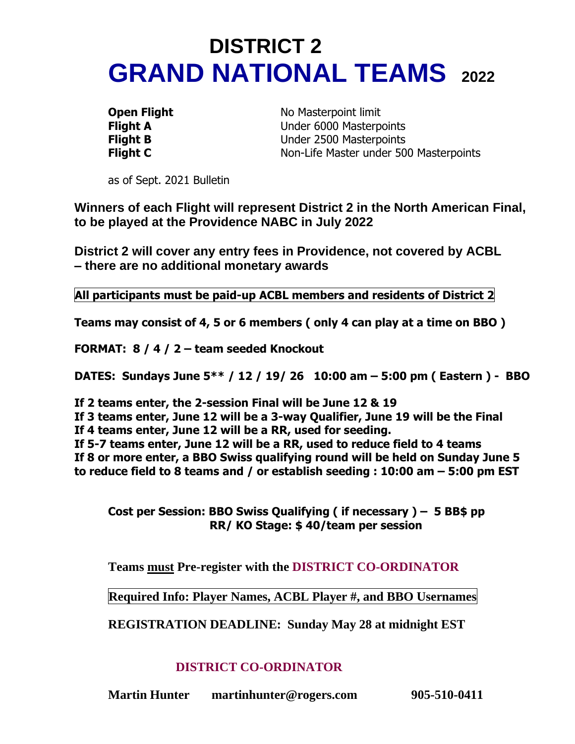# **DISTRICT 2 GRAND NATIONAL TEAMS <sup>2022</sup>**

**Open Flight** No Masterpoint limit **Flight A** Under 6000 Masterpoints **Flight B** Under 2500 Masterpoints **Flight C** Non-Life Master under 500 Masterpoints

as of Sept. 2021 Bulletin

**Winners of each Flight will represent District 2 in the North American Final, to be played at the Providence NABC in July 2022**

**District 2 will cover any entry fees in Providence, not covered by ACBL – there are no additional monetary awards**

**All participants must be paid-up ACBL members and residents of District 2**

**Teams may consist of 4, 5 or 6 members ( only 4 can play at a time on BBO )**

**FORMAT: 8 / 4 / 2 – team seeded Knockout**

**DATES: Sundays June 5\*\* / 12 / 19/ 26 10:00 am – 5:00 pm ( Eastern ) - BBO**

**If 2 teams enter, the 2-session Final will be June 12 & 19**

**If 3 teams enter, June 12 will be a 3-way Qualifier, June 19 will be the Final**

**If 4 teams enter, June 12 will be a RR, used for seeding.** 

**If 5-7 teams enter, June 12 will be a RR, used to reduce field to 4 teams If 8 or more enter, a BBO Swiss qualifying round will be held on Sunday June 5 to reduce field to 8 teams and / or establish seeding : 10:00 am – 5:00 pm EST**

**Cost per Session: BBO Swiss Qualifying ( if necessary ) – 5 BB\$ pp RR/ KO Stage: \$ 40/team per session** 

**Teams must Pre-register with the DISTRICT CO-ORDINATOR**

**Required Info: Player Names, ACBL Player #, and BBO Usernames** 

**REGISTRATION DEADLINE: Sunday May 28 at midnight EST**

#### **DISTRICT CO-ORDINATOR**

**Martin Hunter martinhunter@rogers.com 905-510-0411**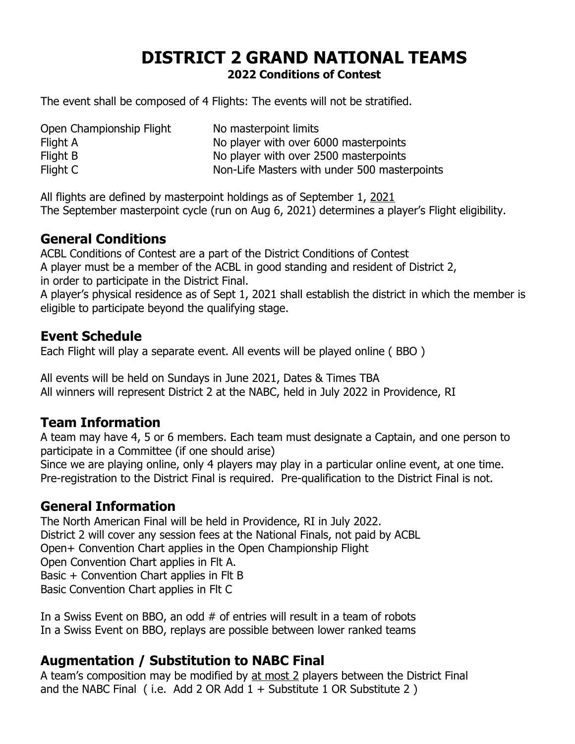## **DISTRICT 2 GRAND NATIONAL TEAMS 2022 Conditions of Contest**

The event shall be composed of 4 Flights: The events will not be stratified.

Open Championship Flight No masterpoint limits Flight A No player with over 6000 masterpoints Flight B No player with over 2500 masterpoints Flight C **Non-Life Masters with under 500 masterpoints** 

All flights are defined by masterpoint holdings as of September 1, 2021 The September masterpoint cycle (run on Aug 6, 2021) determines a player's Flight eligibility.

#### **General Conditions**

ACBL Conditions of Contest are a part of the District Conditions of Contest A player must be a member of the ACBL in good standing and resident of District 2, in order to participate in the District Final.

A player's physical residence as of Sept 1, 2021 shall establish the district in which the member is eligible to participate beyond the qualifying stage.

### **Event Schedule**

Each Flight will play a separate event. All events will be played online ( BBO )

All events will be held on Sundays in June 2021, Dates & Times TBA All winners will represent District 2 at the NABC, held in July 2022 in Providence, RI

### **Team Information**

A team may have 4, 5 or 6 members. Each team must designate a Captain, and one person to participate in a Committee (if one should arise)

Since we are playing online, only 4 players may play in a particular online event, at one time. Pre-registration to the District Final is required. Pre-qualification to the District Final is not.

### **General Information**

The North American Final will be held in Providence, RI in July 2022. District 2 will cover any session fees at the National Finals, not paid by ACBL Open+ Convention Chart applies in the Open Championship Flight Open Convention Chart applies in Flt A. Basic + Convention Chart applies in Flt B Basic Convention Chart applies in Flt C

In a Swiss Event on BBO, an odd # of entries will result in a team of robots In a Swiss Event on BBO, replays are possible between lower ranked teams

#### **Augmentation / Substitution to NABC Final**

A team's composition may be modified by at most 2 players between the District Final and the NABC Final (i.e. Add 2 OR Add  $1 +$  Substitute 1 OR Substitute 2)